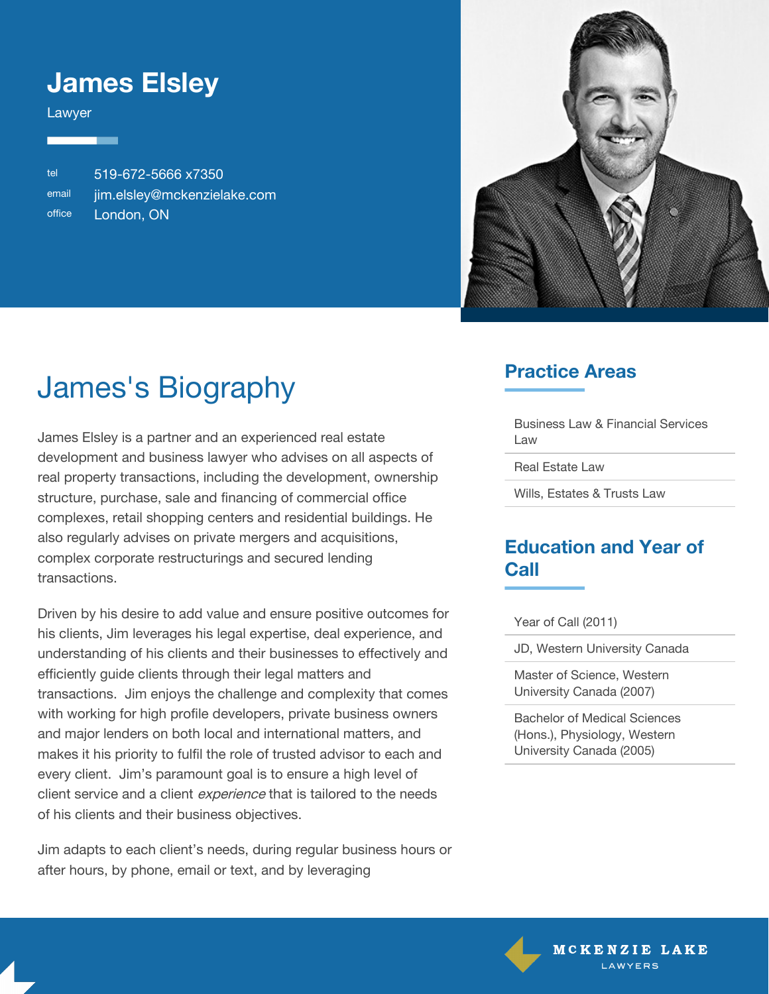### **James Elsley**

Lawyer

tel 519-672-5666 x7350 email [jim.elsley@mckenzielake.com](#page--1-0) office London, ON



# James's Biography

James Elsley is a partner and an experienced real estate development and business lawyer who advises on all aspects of real property transactions, including the development, ownership structure, purchase, sale and financing of commercial office complexes, retail shopping centers and residential buildings. He also regularly advises on private mergers and acquisitions, complex corporate restructurings and secured lending transactions.

Driven by his desire to add value and ensure positive outcomes for his clients, Jim leverages his legal expertise, deal experience, and understanding of his clients and their businesses to effectively and efficiently guide clients through their legal matters and transactions. Jim enjoys the challenge and complexity that comes with working for high profile developers, private business owners and major lenders on both local and international matters, and makes it his priority to fulfil the role of trusted advisor to each and every client. Jim's paramount goal is to ensure a high level of client service and a client *experience* that is tailored to the needs of his clients and their business objectives.

Jim adapts to each client's needs, during regular business hours or after hours, by phone, email or text, and by leveraging

### **Practice Areas**

Business Law & Financial Services Law

Real Estate Law

Wills, Estates & Trusts Law

#### **Education and Year of Call**

Year of Call (2011)

JD, Western University Canada

Master of Science, Western University Canada (2007)

Bachelor of Medical Sciences (Hons.), Physiology, Western University Canada (2005)

> MCKENZIE LAKE LAWYERS